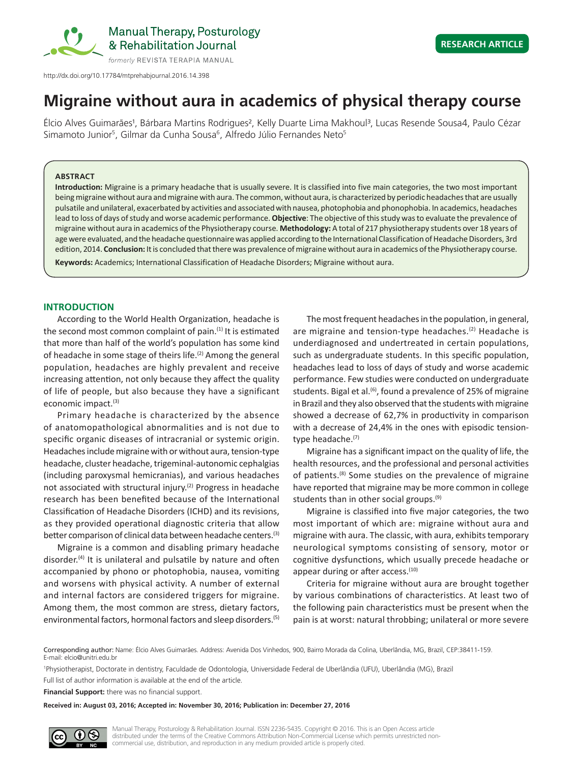

http://dx.doi.org/10.17784/mtprehabjournal.2016.14.398

# **Migraine without aura in academics of physical therapy course**

Élcio Alves Guimarães<sup>1</sup>, Bárbara Martins Rodrigues<sup>2</sup>, Kelly Duarte Lima Makhoul<sup>3</sup>, Lucas Resende Sousa4, Paulo Cézar Simamoto Junior<sup>5</sup>, Gilmar da Cunha Sousa<sup>6</sup>, Alfredo Júlio Fernandes Neto<sup>5</sup>

# **ABSTRACT**

**Introduction:** Migraine is a primary headache that is usually severe. It is classified into five main categories, the two most important being migraine without aura and migraine with aura. The common, without aura, is characterized by periodic headaches that are usually pulsatile and unilateral, exacerbated by activities and associated with nausea, photophobia and phonophobia. In academics, headaches lead to loss of days of study and worse academic performance. **Objective**: The objective of this study was to evaluate the prevalence of migraine without aura in academics of the Physiotherapy course. **Methodology:** A total of 217 physiotherapy students over 18 years of age were evaluated, and the headache questionnaire was applied according to the International Classification of Headache Disorders, 3rd edition, 2014. **Conclusion:** It is concluded that there was prevalence of migraine without aura in academics of the Physiotherapy course. **Keywords:** Academics; International Classification of Headache Disorders; Migraine without aura.

## **INTRODUCTION**

According to the World Health Organization, headache is the second most common complaint of pain. $(1)$  It is estimated that more than half of the world's population has some kind of headache in some stage of theirs life.<sup>(2)</sup> Among the general population, headaches are highly prevalent and receive increasing attention, not only because they affect the quality of life of people, but also because they have a significant economic impact.<sup>(3)</sup>

Primary headache is characterized by the absence of anatomopathological abnormalities and is not due to specific organic diseases of intracranial or systemic origin. Headaches include migraine with or without aura, tension-type headache, cluster headache, trigeminal-autonomic cephalgias (including paroxysmal hemicranias), and various headaches not associated with structural injury.<sup>(2)</sup> Progress in headache research has been benefited because of the International Classification of Headache Disorders (ICHD) and its revisions, as they provided operational diagnostic criteria that allow better comparison of clinical data between headache centers.<sup>(3)</sup>

Migraine is a common and disabling primary headache disorder.<sup>(4)</sup> It is unilateral and pulsatile by nature and often accompanied by phono or photophobia, nausea, vomiting and worsens with physical activity. A number of external and internal factors are considered triggers for migraine. Among them, the most common are stress, dietary factors, environmental factors, hormonal factors and sleep disorders.(5)

The most frequent headaches in the population, in general, are migraine and tension-type headaches.<sup>(2)</sup> Headache is underdiagnosed and undertreated in certain populations, such as undergraduate students. In this specific population, headaches lead to loss of days of study and worse academic performance. Few studies were conducted on undergraduate students. Bigal et al.<sup> $(6)$ </sup>, found a prevalence of 25% of migraine in Brazil and they also observed that the students with migraine showed a decrease of 62,7% in productivity in comparison with a decrease of 24,4% in the ones with episodic tensiontype headache.<sup>(7)</sup>

Migraine has a significant impact on the quality of life, the health resources, and the professional and personal activities of patients.(8) Some studies on the prevalence of migraine have reported that migraine may be more common in college students than in other social groups.<sup>(9)</sup>

Migraine is classified into five major categories, the two most important of which are: migraine without aura and migraine with aura. The classic, with aura, exhibits temporary neurological symptoms consisting of sensory, motor or cognitive dysfunctions, which usually precede headache or appear during or after access.<sup>(10)</sup>

Criteria for migraine without aura are brought together by various combinations of characteristics. At least two of the following pain characteristics must be present when the pain is at worst: natural throbbing; unilateral or more severe

Full list of author information is available at the end of the article.

**Financial Support:** there was no financial support.

**Received in: August 03, 2016; Accepted in: November 30, 2016; Publication in: December 27, 2016**



Corresponding author: Name: Élcio Alves Guimarães. Address: Avenida Dos Vinhedos, 900, Bairro Morada da Colina, Uberlândia, MG, Brazil, CEP:38411-159. E-mail: elcio@unitri.edu.br

<sup>1</sup> Physiotherapist, Doctorate in dentistry, Faculdade de Odontologia, Universidade Federal de Uberlândia (UFU), Uberlândia (MG), Brazil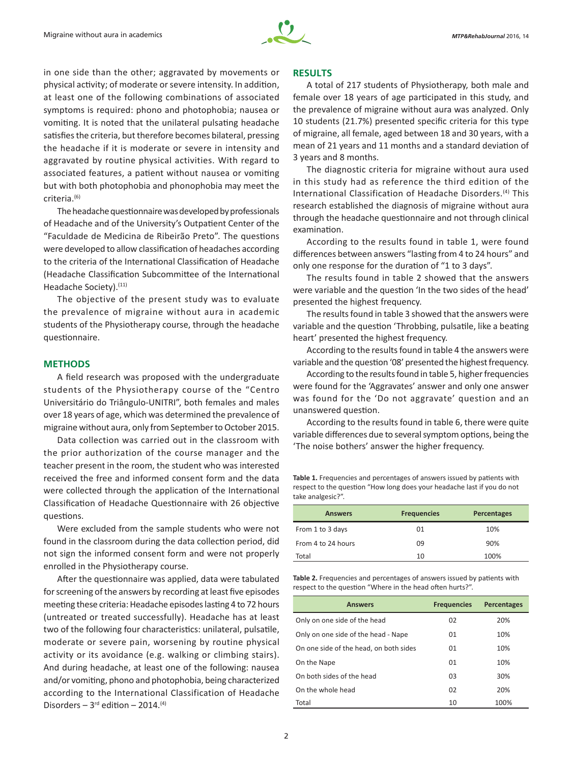

in one side than the other; aggravated by movements or physical activity; of moderate or severe intensity. In addition, at least one of the following combinations of associated symptoms is required: phono and photophobia; nausea or vomiting. It is noted that the unilateral pulsating headache satisfies the criteria, but therefore becomes bilateral, pressing the headache if it is moderate or severe in intensity and aggravated by routine physical activities. With regard to associated features, a patient without nausea or vomiting but with both photophobia and phonophobia may meet the criteria.(6)

The headache questionnaire was developed by professionals of Headache and of the University's Outpatient Center of the "Faculdade de Medicina de Ribeirão Preto". The questions were developed to allow classification of headaches according to the criteria of the International Classification of Headache (Headache Classification Subcommittee of the International Headache Society).<sup>(11)</sup>

The objective of the present study was to evaluate the prevalence of migraine without aura in academic students of the Physiotherapy course, through the headache questionnaire.

### **METHODS**

A field research was proposed with the undergraduate students of the Physiotherapy course of the "Centro Universitário do Triângulo-UNITRI", both females and males over 18 years of age, which was determined the prevalence of migraine without aura, only from September to October 2015.

Data collection was carried out in the classroom with the prior authorization of the course manager and the teacher present in the room, the student who was interested received the free and informed consent form and the data were collected through the application of the International Classification of Headache Questionnaire with 26 objective questions.

Were excluded from the sample students who were not found in the classroom during the data collection period, did not sign the informed consent form and were not properly enrolled in the Physiotherapy course.

After the questionnaire was applied, data were tabulated for screening of the answers by recording at least five episodes meeting these criteria: Headache episodes lasting 4 to 72 hours (untreated or treated successfully). Headache has at least two of the following four characteristics: unilateral, pulsatile, moderate or severe pain, worsening by routine physical activity or its avoidance (e.g. walking or climbing stairs). And during headache, at least one of the following: nausea and/or vomiting, phono and photophobia, being characterized according to the International Classification of Headache Disorders  $-3$ <sup>rd</sup> edition  $-2014$ .<sup>(4)</sup>

## **RESULTS**

A total of 217 students of Physiotherapy, both male and female over 18 years of age participated in this study, and the prevalence of migraine without aura was analyzed. Only 10 students (21.7%) presented specific criteria for this type of migraine, all female, aged between 18 and 30 years, with a mean of 21 years and 11 months and a standard deviation of 3 years and 8 months.

The diagnostic criteria for migraine without aura used in this study had as reference the third edition of the International Classification of Headache Disorders.(4) This research established the diagnosis of migraine without aura through the headache questionnaire and not through clinical examination.

According to the results found in table 1, were found differences between answers "lasting from 4 to 24 hours" and only one response for the duration of "1 to 3 days".

The results found in table 2 showed that the answers were variable and the question 'In the two sides of the head' presented the highest frequency.

The results found in table 3 showed that the answers were variable and the question 'Throbbing, pulsatile, like a beating heart' presented the highest frequency.

According to the results found in table 4 the answers were variable and the question '08' presented the highest frequency.

According to the results found in table 5, higher frequencies were found for the 'Aggravates' answer and only one answer was found for the 'Do not aggravate' question and an unanswered question.

According to the results found in table 6, there were quite variable differences due to several symptom options, being the 'The noise bothers' answer the higher frequency.

**Table 1.** Frequencies and percentages of answers issued by patients with respect to the question "How long does your headache last if you do not take analgesic?".

| <b>Answers</b>     | <b>Frequencies</b> | <b>Percentages</b> |
|--------------------|--------------------|--------------------|
| From 1 to 3 days   | 01                 | 10%                |
| From 4 to 24 hours | 09                 | 90%                |
| Total              | 10                 | 100%               |

**Table 2.** Frequencies and percentages of answers issued by patients with respect to the question "Where in the head often hurts?".

| <b>Answers</b>                         | <b>Frequencies</b> | <b>Percentages</b> |
|----------------------------------------|--------------------|--------------------|
| Only on one side of the head           | 02                 | 20%                |
| Only on one side of the head - Nape    | 01                 | 10%                |
| On one side of the head, on both sides | 01                 | 10%                |
| On the Nape                            | 01                 | 10%                |
| On both sides of the head              | 03                 | 30%                |
| On the whole head                      | 02                 | 20%                |
| Total                                  | 10                 | 100%               |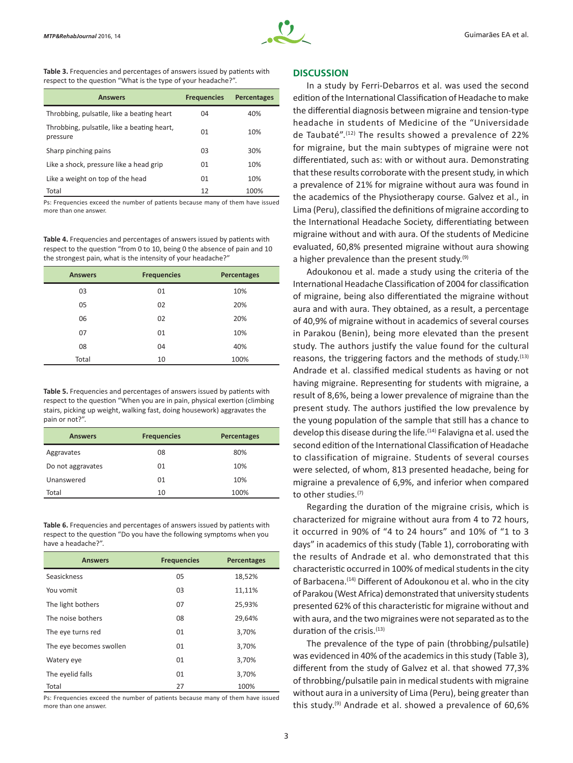

**Table 3.** Frequencies and percentages of answers issued by patients with respect to the question "What is the type of your headache?".

| <b>Answers</b>                                          | <b>Frequencies</b> | <b>Percentages</b> |
|---------------------------------------------------------|--------------------|--------------------|
| Throbbing, pulsatile, like a beating heart              | 04                 | 40%                |
| Throbbing, pulsatile, like a beating heart,<br>pressure | 01                 | 10%                |
| Sharp pinching pains                                    | 03                 | 30%                |
| Like a shock, pressure like a head grip                 | 01                 | 10%                |
| Like a weight on top of the head                        | 01                 | 10%                |
| Total                                                   | 12                 | 100%               |

Ps: Frequencies exceed the number of patients because many of them have issued more than one answer.

**Table 4.** Frequencies and percentages of answers issued by patients with respect to the question "from 0 to 10, being 0 the absence of pain and 10 the strongest pain, what is the intensity of your headache?"

| <b>Answers</b> | <b>Frequencies</b> | <b>Percentages</b> |
|----------------|--------------------|--------------------|
| 03             | 01                 | 10%                |
| 05             | 02                 | 20%                |
| 06             | 02                 | 20%                |
| 07             | 01                 | 10%                |
| 08             | 04                 | 40%                |
| Total          | 10                 | 100%               |

**Table 5.** Frequencies and percentages of answers issued by patients with respect to the question "When you are in pain, physical exertion (climbing stairs, picking up weight, walking fast, doing housework) aggravates the pain or not?".

| <b>Answers</b>    | <b>Frequencies</b> | <b>Percentages</b> |
|-------------------|--------------------|--------------------|
| Aggravates        | 08                 | 80%                |
| Do not aggravates | 01                 | 10%                |
| Unanswered        | 01                 | 10%                |
| Total             | 10                 | 100%               |

**Table 6.** Frequencies and percentages of answers issued by patients with respect to the question "Do you have the following symptoms when you have a headache?".

| <b>Answers</b>          | <b>Frequencies</b> | <b>Percentages</b> |
|-------------------------|--------------------|--------------------|
| Seasickness             | 05                 | 18,52%             |
| You vomit               | 03                 | 11,11%             |
| The light bothers       | 07                 | 25,93%             |
| The noise bothers       | 08                 | 29,64%             |
| The eye turns red       | 01                 | 3,70%              |
| The eye becomes swollen | 01                 | 3,70%              |
| Watery eye              | 01                 | 3,70%              |
| The eyelid falls        | 01                 | 3,70%              |
| Total                   | 27                 | 100%               |

Ps: Frequencies exceed the number of patients because many of them have issued more than one answer.

## **DISCUSSION**

In a study by Ferri-Debarros et al. was used the second edition of the International Classification of Headache to make the differential diagnosis between migraine and tension-type headache in students of Medicine of the "Universidade de Taubaté".(12) The results showed a prevalence of 22% for migraine, but the main subtypes of migraine were not differentiated, such as: with or without aura. Demonstrating that these results corroborate with the present study, in which a prevalence of 21% for migraine without aura was found in the academics of the Physiotherapy course. Galvez et al., in Lima (Peru), classified the definitions of migraine according to the International Headache Society, differentiating between migraine without and with aura. Of the students of Medicine evaluated, 60,8% presented migraine without aura showing a higher prevalence than the present study. $(9)$ 

Adoukonou et al. made a study using the criteria of the International Headache Classification of 2004 for classification of migraine, being also differentiated the migraine without aura and with aura. They obtained, as a result, a percentage of 40,9% of migraine without in academics of several courses in Parakou (Benin), being more elevated than the present study. The authors justify the value found for the cultural reasons, the triggering factors and the methods of study. $(13)$ Andrade et al. classified medical students as having or not having migraine. Representing for students with migraine, a result of 8,6%, being a lower prevalence of migraine than the present study. The authors justified the low prevalence by the young population of the sample that still has a chance to develop this disease during the life.<sup>(14)</sup> Falavigna et al. used the second edition of the International Classification of Headache to classification of migraine. Students of several courses were selected, of whom, 813 presented headache, being for migraine a prevalence of 6,9%, and inferior when compared to other studies.<sup>(7)</sup>

Regarding the duration of the migraine crisis, which is characterized for migraine without aura from 4 to 72 hours, it occurred in 90% of "4 to 24 hours" and 10% of "1 to 3 days" in academics of this study (Table 1), corroborating with the results of Andrade et al. who demonstrated that this characteristic occurred in 100% of medical students in the city of Barbacena.<sup>(14)</sup> Different of Adoukonou et al. who in the city of Parakou (West Africa) demonstrated that university students presented 62% of this characteristic for migraine without and with aura, and the two migraines were not separated as to the duration of the crisis.(13)

The prevalence of the type of pain (throbbing/pulsatile) was evidenced in 40% of the academics in this study (Table 3), different from the study of Galvez et al. that showed 77,3% of throbbing/pulsatile pain in medical students with migraine without aura in a university of Lima (Peru), being greater than this study.(9) Andrade et al. showed a prevalence of 60,6%